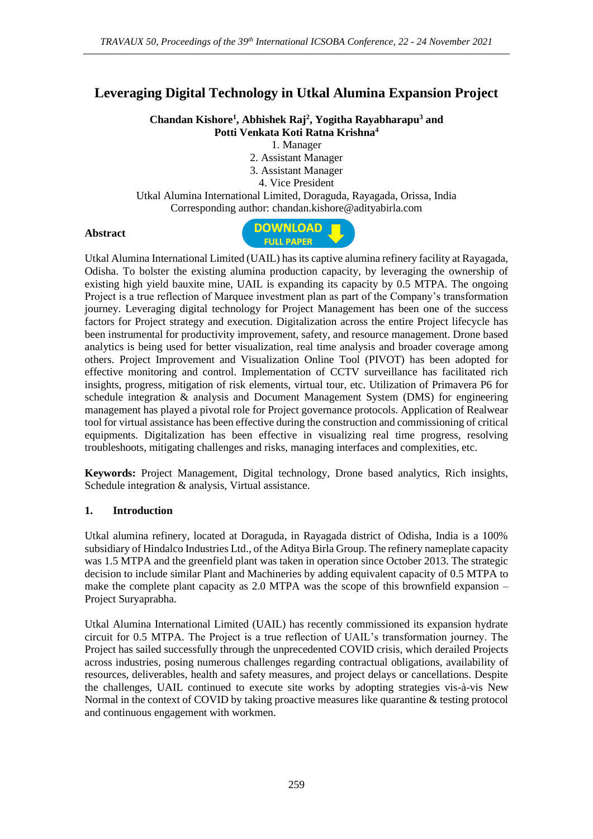# **Leveraging Digital Technology in Utkal Alumina Expansion Project**

**Chandan Kishore<sup>1</sup> , Abhishek Raj<sup>2</sup> , Yogitha Rayabharapu<sup>3</sup> and Potti Venkata Koti Ratna Krishna<sup>4</sup>**

1. Manager

- 2. Assistant Manager
- 3. Assistant Manager

4. Vice President

Utkal Alumina International Limited, Doraguda, Rayagada, Orissa, India Corresponding author: chandan.kishore@adityabirla.com

## **Abstract**



Utkal Alumina International Limited (UAIL) has its captive alumina refinery facility at Rayagada, Odisha. To bolster the existing alumina production capacity, by leveraging the ownership of existing high yield bauxite mine, UAIL is expanding its capacity by 0.5 MTPA. The ongoing Project is a true reflection of Marquee investment plan as part of the Company's transformation journey. Leveraging digital technology for Project Management has been one of the success factors for Project strategy and execution. Digitalization across the entire Project lifecycle has been instrumental for productivity improvement, safety, and resource management. Drone based analytics is being used for better visualization, real time analysis and broader coverage among others. Project Improvement and Visualization Online Tool (PIVOT) has been adopted for effective monitoring and control. Implementation of CCTV surveillance has facilitated rich insights, progress, mitigation of risk elements, virtual tour, etc. Utilization of Primavera P6 for schedule integration & analysis and Document Management System (DMS) for engineering management has played a pivotal role for Project governance protocols. Application of Realwear tool for virtual assistance has been effective during the construction and commissioning of critical equipments. Digitalization has been effective in visualizing real time progress, resolving troubleshoots, mitigating challenges and risks, managing interfaces and complexities, etc.

**Keywords:** Project Management, Digital technology, Drone based analytics, Rich insights, Schedule integration & analysis, Virtual assistance.

## **1. Introduction**

Utkal alumina refinery, located at Doraguda, in Rayagada district of Odisha, India is a 100% subsidiary of Hindalco Industries Ltd., of the Aditya Birla Group. The refinery nameplate capacity was 1.5 MTPA and the greenfield plant was taken in operation since October 2013. The strategic decision to include similar Plant and Machineries by adding equivalent capacity of 0.5 MTPA to make the complete plant capacity as 2.0 MTPA was the scope of this brownfield expansion – Project Suryaprabha.

Utkal Alumina International Limited (UAIL) has recently commissioned its expansion hydrate circuit for 0.5 MTPA. The Project is a true reflection of UAIL's transformation journey. The Project has sailed successfully through the unprecedented COVID crisis, which derailed Projects across industries, posing numerous challenges regarding contractual obligations, availability of resources, deliverables, health and safety measures, and project delays or cancellations. Despite the challenges, UAIL continued to execute site works by adopting strategies vis-à-vis New Normal in the context of COVID by taking proactive measures like quarantine & testing protocol and continuous engagement with workmen.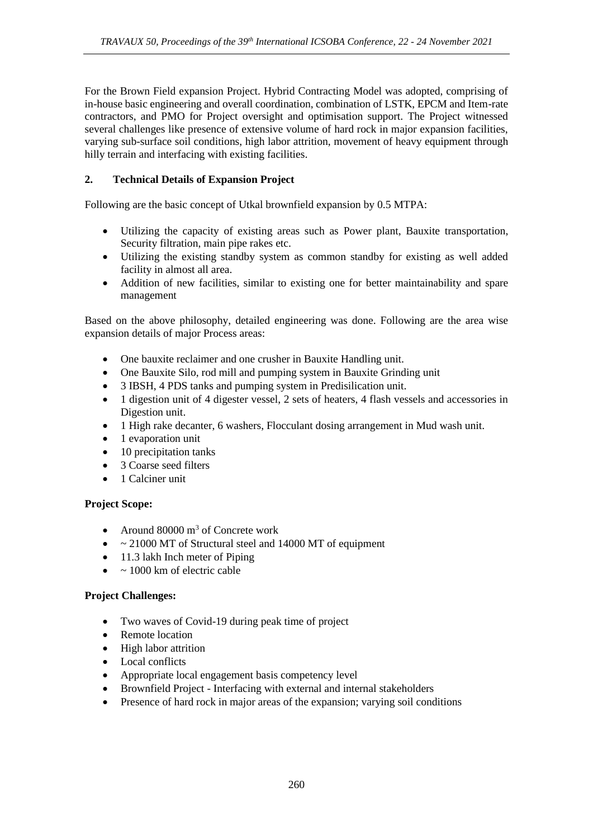For the Brown Field expansion Project. Hybrid Contracting Model was adopted, comprising of in-house basic engineering and overall coordination, combination of LSTK, EPCM and Item-rate contractors, and PMO for Project oversight and optimisation support. The Project witnessed several challenges like presence of extensive volume of hard rock in major expansion facilities, varying sub-surface soil conditions, high labor attrition, movement of heavy equipment through hilly terrain and interfacing with existing facilities.

## **2. Technical Details of Expansion Project**

Following are the basic concept of Utkal brownfield expansion by 0.5 MTPA:

- Utilizing the capacity of existing areas such as Power plant, Bauxite transportation, Security filtration, main pipe rakes etc.
- Utilizing the existing standby system as common standby for existing as well added facility in almost all area.
- Addition of new facilities, similar to existing one for better maintainability and spare management

Based on the above philosophy, detailed engineering was done. Following are the area wise expansion details of major Process areas:

- One bauxite reclaimer and one crusher in Bauxite Handling unit.
- One Bauxite Silo, rod mill and pumping system in Bauxite Grinding unit
- 3 IBSH, 4 PDS tanks and pumping system in Predisilication unit.
- 1 digestion unit of 4 digester vessel, 2 sets of heaters, 4 flash vessels and accessories in Digestion unit.
- 1 High rake decanter, 6 washers, Flocculant dosing arrangement in Mud wash unit.
- 1 evaporation unit
- 10 precipitation tanks
- 3 Coarse seed filters
- 1 Calciner unit

## **Project Scope:**

- Around 80000 m<sup>3</sup> of Concrete work
- $\sim$  21000 MT of Structural steel and 14000 MT of equipment
- 11.3 lakh Inch meter of Piping
- $\bullet$  ~ 1000 km of electric cable

## **Project Challenges:**

- Two waves of Covid-19 during peak time of project
- Remote location
- High labor attrition
- Local conflicts
- Appropriate local engagement basis competency level
- Brownfield Project Interfacing with external and internal stakeholders
- Presence of hard rock in major areas of the expansion; varying soil conditions